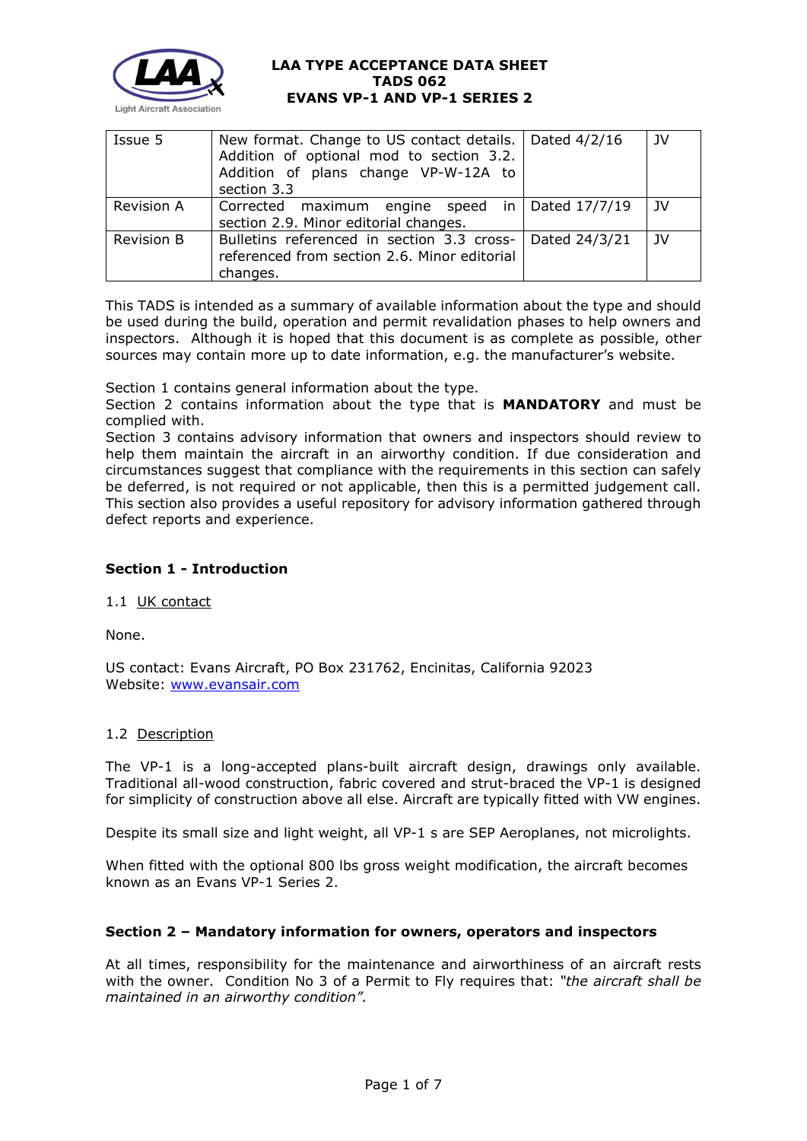

| Issue 5           | New format. Change to US contact details.   Dated 4/2/16<br>Addition of optional mod to section 3.2.<br>Addition of plans change VP-W-12A to<br>section 3.3 |               | JV |
|-------------------|-------------------------------------------------------------------------------------------------------------------------------------------------------------|---------------|----|
| <b>Revision A</b> | Corrected maximum engine speed in Dated 17/7/19<br>section 2.9. Minor editorial changes.                                                                    |               | JV |
| <b>Revision B</b> | Bulletins referenced in section 3.3 cross-<br>referenced from section 2.6. Minor editorial<br>changes.                                                      | Dated 24/3/21 | JV |

This TADS is intended as a summary of available information about the type and should be used during the build, operation and permit revalidation phases to help owners and inspectors. Although it is hoped that this document is as complete as possible, other sources may contain more up to date information, e.g. the manufacturer's website.

Section 1 contains general information about the type.

Section 2 contains information about the type that is **MANDATORY** and must be complied with.

Section 3 contains advisory information that owners and inspectors should review to help them maintain the aircraft in an airworthy condition. If due consideration and circumstances suggest that compliance with the requirements in this section can safely be deferred, is not required or not applicable, then this is a permitted judgement call. This section also provides a useful repository for advisory information gathered through defect reports and experience.

# **Section 1 - Introduction**

# 1.1 UK contact

None.

US contact: Evans Aircraft, PO Box 231762, Encinitas, California 92023 Website: [www.evansair.com](http://www.evansair.com/)

# 1.2 Description

The VP-1 is a long-accepted plans-built aircraft design, drawings only available. Traditional all-wood construction, fabric covered and strut-braced the VP-1 is designed for simplicity of construction above all else. Aircraft are typically fitted with VW engines.

Despite its small size and light weight, all VP-1 s are SEP Aeroplanes, not microlights.

When fitted with the optional 800 lbs gross weight modification, the aircraft becomes known as an Evans VP-1 Series 2.

# **Section 2 – Mandatory information for owners, operators and inspectors**

At all times, responsibility for the maintenance and airworthiness of an aircraft rests with the owner. Condition No 3 of a Permit to Fly requires that: *"the aircraft shall be maintained in an airworthy condition".*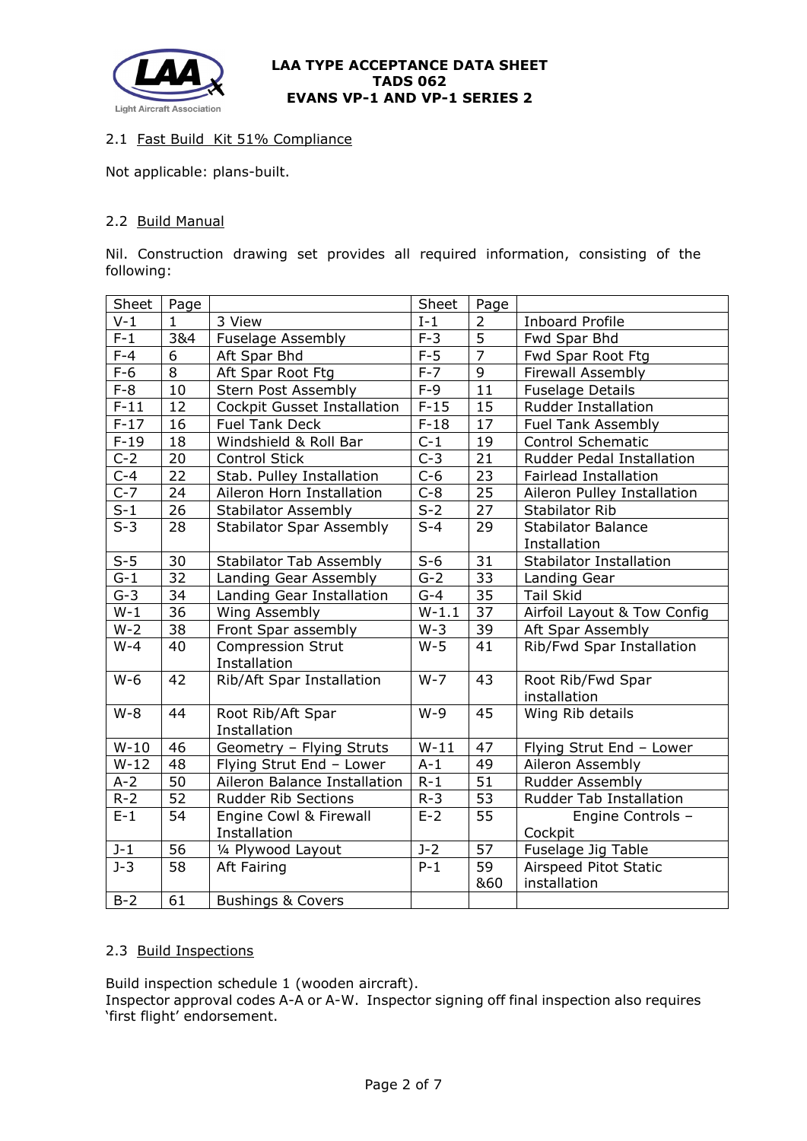

# 2.1 Fast Build Kit 51% Compliance

Not applicable: plans-built.

# 2.2 Build Manual

Nil. Construction drawing set provides all required information, consisting of the following:

| Sheet              | Page         |                                          | Sheet   | Page            |                                           |
|--------------------|--------------|------------------------------------------|---------|-----------------|-------------------------------------------|
| $V-1$              | $\mathbf{1}$ | 3 View                                   | $I-1$   | $\overline{2}$  | <b>Inboard Profile</b>                    |
| $F-1$              | 3&4          | <b>Fuselage Assembly</b>                 | $F-3$   | $\overline{5}$  | Fwd Spar Bhd                              |
| $\overline{F} - 4$ | 6            | Aft Spar Bhd                             | $F-5$   | $\overline{7}$  | Fwd Spar Root Ftg                         |
| $F-6$              | 8            | Aft Spar Root Ftg                        | $F-7$   | $\overline{9}$  | Firewall Assembly                         |
| $F-8$              | 10           | Stern Post Assembly                      | $F-9$   | 11              | <b>Fuselage Details</b>                   |
| $F-11$             | 12           | <b>Cockpit Gusset Installation</b>       | $F-15$  | 15              | <b>Rudder Installation</b>                |
| $F-17$             | 16           | <b>Fuel Tank Deck</b>                    | $F-18$  | 17              | <b>Fuel Tank Assembly</b>                 |
| $F-19$             | 18           | Windshield & Roll Bar                    | $C-1$   | 19              | <b>Control Schematic</b>                  |
| $C-2$              | 20           | Control Stick                            | $C-3$   | 21              | Rudder Pedal Installation                 |
| $\overline{C}$ -4  | 22           | Stab. Pulley Installation                | $C-6$   | 23              | <b>Fairlead Installation</b>              |
| $C-7$              | 24           | Aileron Horn Installation                | $C-8$   | $\overline{25}$ | Aileron Pulley Installation               |
| $S-1$              | 26           | <b>Stabilator Assembly</b>               | $S-2$   | 27              | <b>Stabilator Rib</b>                     |
| $\overline{S-3}$   | 28           | <b>Stabilator Spar Assembly</b>          | $S-4$   | 29              | <b>Stabilator Balance</b><br>Installation |
| $S-5$              | 30           | <b>Stabilator Tab Assembly</b>           | $S-6$   | 31              | <b>Stabilator Installation</b>            |
| $G-1$              | 32           | Landing Gear Assembly                    | $G-2$   | 33              | Landing Gear                              |
| $G-3$              | 34           | Landing Gear Installation                | $G-4$   | 35              | <b>Tail Skid</b>                          |
| $\overline{W-1}$   | 36           | Wing Assembly                            | $W-1.1$ | $\overline{37}$ | Airfoil Layout & Tow Config               |
| $W-2$              | 38           | Front Spar assembly                      | $W-3$   | 39              | Aft Spar Assembly                         |
| $W-4$              | 40           | <b>Compression Strut</b><br>Installation | $W-5$   | 41              | Rib/Fwd Spar Installation                 |
| $W-6$              | 42           | Rib/Aft Spar Installation                | $W - 7$ | 43              | Root Rib/Fwd Spar<br>installation         |
| $W-8$              | 44           | Root Rib/Aft Spar<br>Installation        | $W-9$   | 45              | Wing Rib details                          |
| $W-10$             | 46           | Geometry - Flying Struts                 | $W-11$  | 47              | Flying Strut End - Lower                  |
| $W-12$             | 48           | Flying Strut End - Lower                 | $A-1$   | 49              | Aileron Assembly                          |
| $A-2$              | 50           | Aileron Balance Installation             | $R-1$   | 51              | Rudder Assembly                           |
| $R - 2$            | 52           | <b>Rudder Rib Sections</b>               | $R - 3$ | 53              | <b>Rudder Tab Installation</b>            |
| $E-1$              | 54           | Engine Cowl & Firewall<br>Installation   | $E-2$   | $\overline{55}$ | Engine Controls -<br>Cockpit              |
| $J - 1$            | 56           | 1/4 Plywood Layout                       | $J-2$   | 57              | Fuselage Jig Table                        |
| $\overline{J}$ -3  | 58           | Aft Fairing                              | $P-1$   | $\overline{59}$ | Airspeed Pitot Static                     |
|                    |              |                                          |         | &60             | installation                              |
| $B-2$              | 61           | <b>Bushings &amp; Covers</b>             |         |                 |                                           |

# 2.3 Build Inspections

Build inspection schedule 1 (wooden aircraft). Inspector approval codes A-A or A-W. Inspector signing off final inspection also requires 'first flight' endorsement.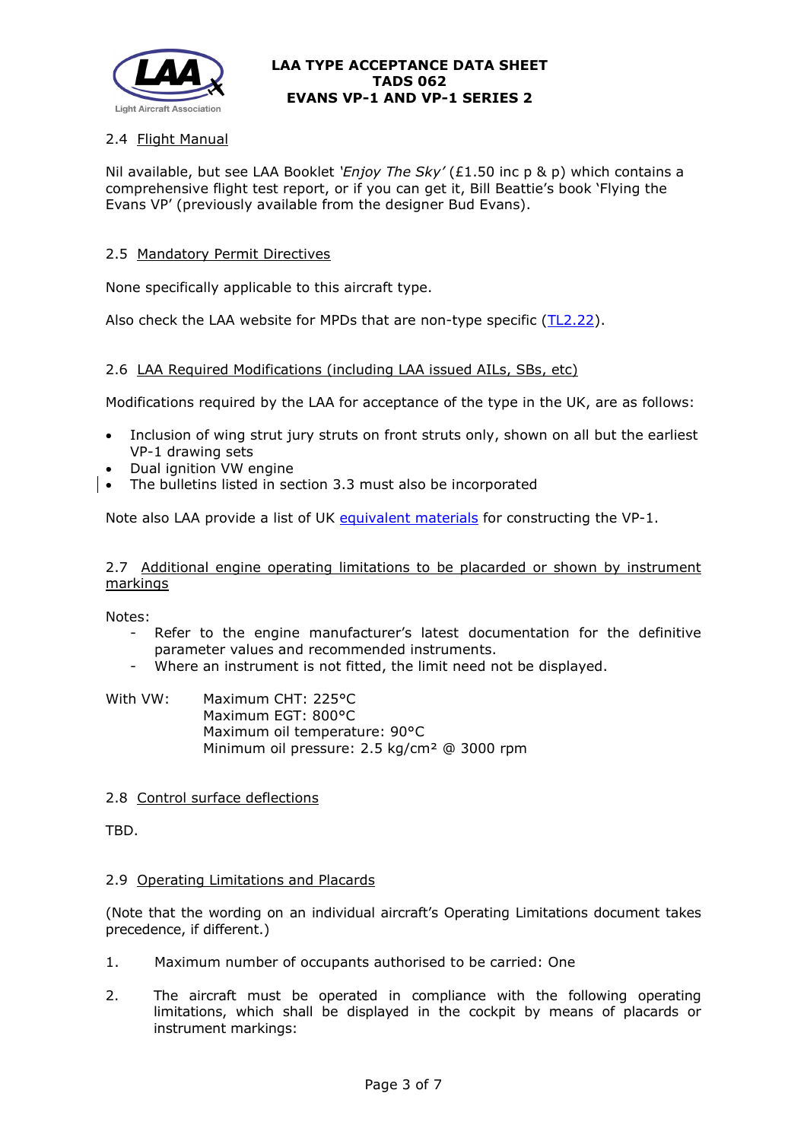

# 2.4 Flight Manual

Nil available, but see LAA Booklet *'Enjoy The Sky'* (£1.50 inc p & p) which contains a comprehensive flight test report, or if you can get it, Bill Beattie's book 'Flying the Evans VP' (previously available from the designer Bud Evans).

## 2.5 Mandatory Permit Directives

None specifically applicable to this aircraft type.

Also check the LAA website for MPDs that are non-type specific [\(TL2.22\)](http://www.lightaircraftassociation.co.uk/engineering/TechnicalLeaflets/Operating%20An%20Aircraft/TL%202.22%20non-type%20specific%20MPDs.pdf).

### 2.6 LAA Required Modifications (including LAA issued AILs, SBs, etc)

Modifications required by the LAA for acceptance of the type in the UK, are as follows:

- Inclusion of wing strut jury struts on front struts only, shown on all but the earliest VP-1 drawing sets
- Dual ignition VW engine
- The bulletins listed in section 3.3 must also be incorporated

Note also LAA provide a list of UK [equivalent materials](http://www.lightaircraftassociation.co.uk/engineering/TADs/062/Alt_mats.pdf) for constructing the VP-1.

2.7 Additional engine operating limitations to be placarded or shown by instrument markings

Notes:

- Refer to the engine manufacturer's latest documentation for the definitive parameter values and recommended instruments.
- Where an instrument is not fitted, the limit need not be displayed.

### With VW: Maximum CHT: 225°C Maximum EGT: 800°C Maximum oil temperature: 90°C Minimum oil pressure: 2.5 kg/cm² @ 3000 rpm

#### 2.8 Control surface deflections

TBD.

#### 2.9 Operating Limitations and Placards

(Note that the wording on an individual aircraft's Operating Limitations document takes precedence, if different.)

- 1. Maximum number of occupants authorised to be carried: One
- 2. The aircraft must be operated in compliance with the following operating limitations, which shall be displayed in the cockpit by means of placards or instrument markings: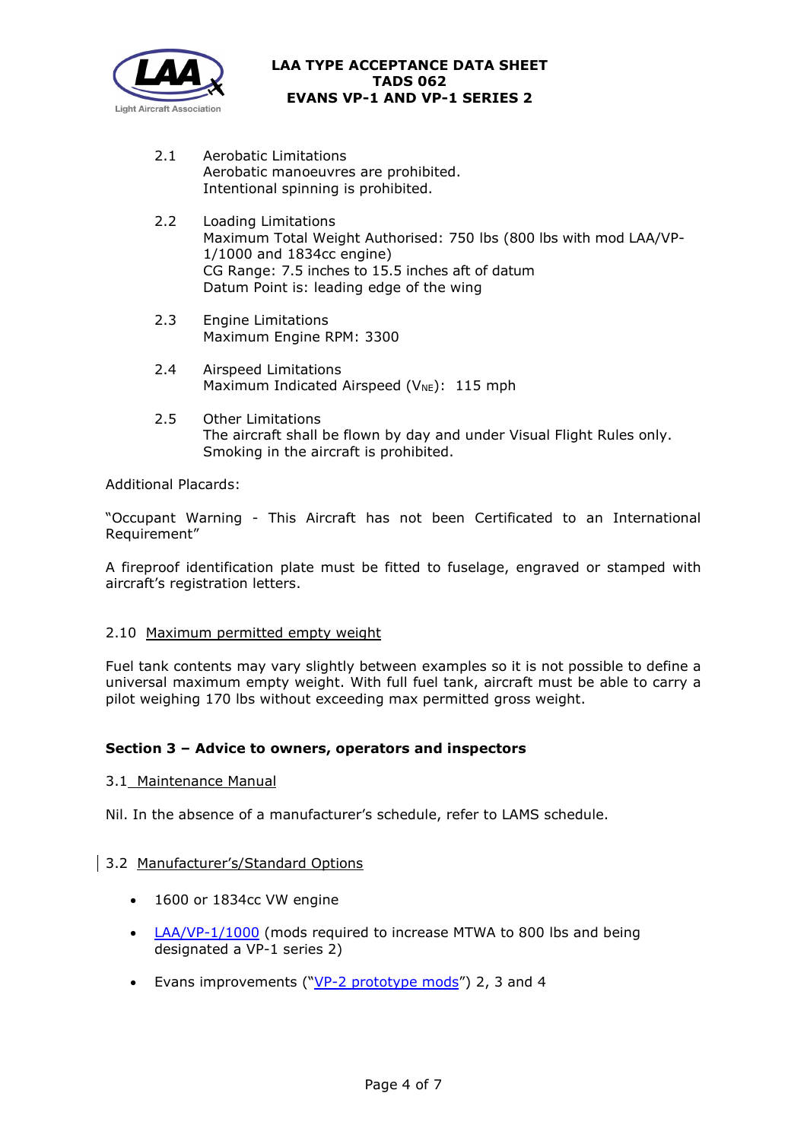

- 2.1 Aerobatic Limitations Aerobatic manoeuvres are prohibited. Intentional spinning is prohibited.
- 2.2 Loading Limitations Maximum Total Weight Authorised: 750 lbs (800 lbs with mod LAA/VP-1/1000 and 1834cc engine) CG Range: 7.5 inches to 15.5 inches aft of datum Datum Point is: leading edge of the wing
- 2.3 Engine Limitations Maximum Engine RPM: 3300
- 2.4 Airspeed Limitations Maximum Indicated Airspeed ( $V_{NE}$ ): 115 mph
- 2.5 Other Limitations The aircraft shall be flown by day and under Visual Flight Rules only. Smoking in the aircraft is prohibited.

Additional Placards:

"Occupant Warning - This Aircraft has not been Certificated to an International Requirement"

A fireproof identification plate must be fitted to fuselage, engraved or stamped with aircraft's registration letters.

# 2.10 Maximum permitted empty weight

Fuel tank contents may vary slightly between examples so it is not possible to define a universal maximum empty weight. With full fuel tank, aircraft must be able to carry a pilot weighing 170 lbs without exceeding max permitted gross weight.

# **Section 3 – Advice to owners, operators and inspectors**

3.1 Maintenance Manual

Nil. In the absence of a manufacturer's schedule, refer to LAMS schedule.

# 3.2 Manufacturer's/Standard Options

- 1600 or 1834cc VW engine
- [LAA/VP-1/1000](http://www.lightaircraftassociation.co.uk/engineering/TADs/062/LAA-VP-1-1000.pdf) (mods required to increase MTWA to 800 lbs and being designated a VP-1 series 2)
- Evans improvements (" $VP-2$  prototype mods") 2, 3 and 4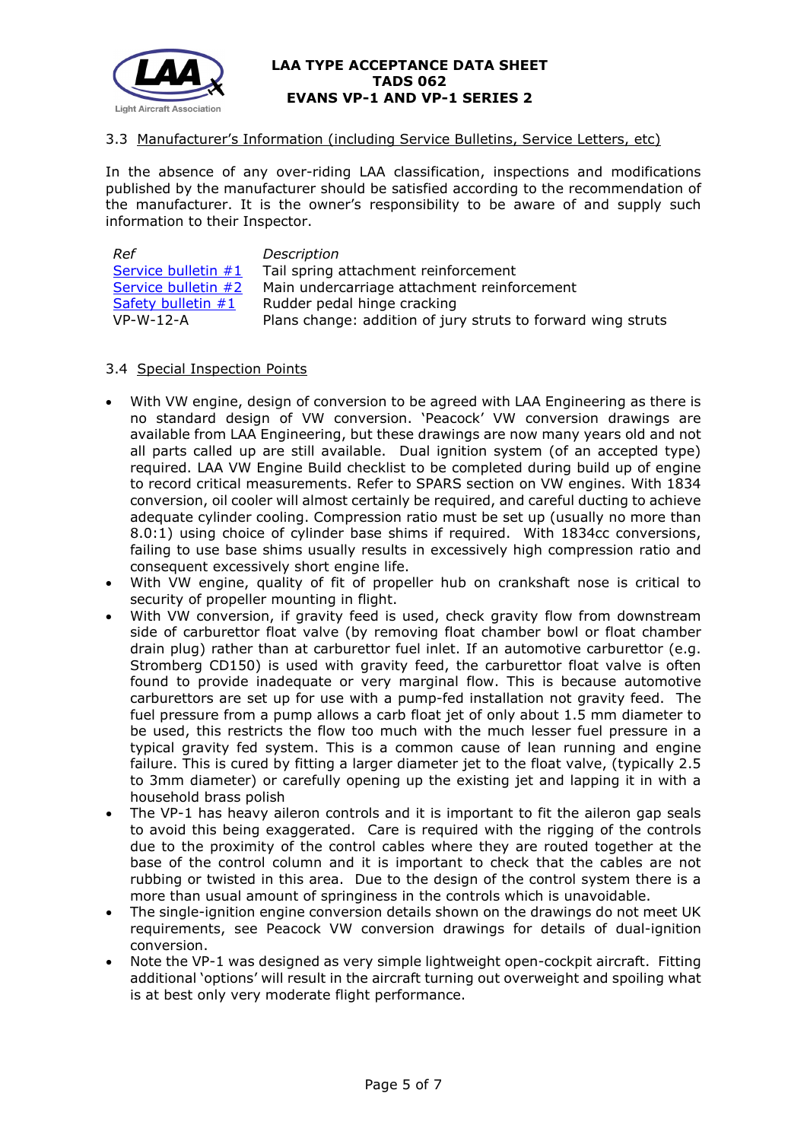

# 3.3 Manufacturer's Information (including Service Bulletins, Service Letters, etc)

In the absence of any over-riding LAA classification, inspections and modifications published by the manufacturer should be satisfied according to the recommendation of the manufacturer. It is the owner's responsibility to be aware of and supply such information to their Inspector.

| Ref                  | Description                                                  |
|----------------------|--------------------------------------------------------------|
| Service bulletin #1  | Tail spring attachment reinforcement                         |
| Service bulletin #2  | Main undercarriage attachment reinforcement                  |
| Safety bulletin $#1$ | Rudder pedal hinge cracking                                  |
| $VP-W-12-A$          | Plans change: addition of jury struts to forward wing struts |

# 3.4 Special Inspection Points

- With VW engine, design of conversion to be agreed with LAA Engineering as there is no standard design of VW conversion. 'Peacock' VW conversion drawings are available from LAA Engineering, but these drawings are now many years old and not all parts called up are still available. Dual ignition system (of an accepted type) required. LAA VW Engine Build checklist to be completed during build up of engine to record critical measurements. Refer to SPARS section on VW engines. With 1834 conversion, oil cooler will almost certainly be required, and careful ducting to achieve adequate cylinder cooling. Compression ratio must be set up (usually no more than 8.0:1) using choice of cylinder base shims if required. With 1834cc conversions, failing to use base shims usually results in excessively high compression ratio and consequent excessively short engine life.
- With VW engine, quality of fit of propeller hub on crankshaft nose is critical to security of propeller mounting in flight.
- With VW conversion, if gravity feed is used, check gravity flow from downstream side of carburettor float valve (by removing float chamber bowl or float chamber drain plug) rather than at carburettor fuel inlet. If an automotive carburettor (e.g. Stromberg CD150) is used with gravity feed, the carburettor float valve is often found to provide inadequate or very marginal flow. This is because automotive carburettors are set up for use with a pump-fed installation not gravity feed. The fuel pressure from a pump allows a carb float jet of only about 1.5 mm diameter to be used, this restricts the flow too much with the much lesser fuel pressure in a typical gravity fed system. This is a common cause of lean running and engine failure. This is cured by fitting a larger diameter jet to the float valve, (typically 2.5 to 3mm diameter) or carefully opening up the existing jet and lapping it in with a household brass polish
- The VP-1 has heavy aileron controls and it is important to fit the aileron gap seals to avoid this being exaggerated. Care is required with the rigging of the controls due to the proximity of the control cables where they are routed together at the base of the control column and it is important to check that the cables are not rubbing or twisted in this area. Due to the design of the control system there is a more than usual amount of springiness in the controls which is unavoidable.
- The single-ignition engine conversion details shown on the drawings do not meet UK requirements, see Peacock VW conversion drawings for details of dual-ignition conversion.
- Note the VP-1 was designed as very simple lightweight open-cockpit aircraft. Fitting additional 'options' will result in the aircraft turning out overweight and spoiling what is at best only very moderate flight performance.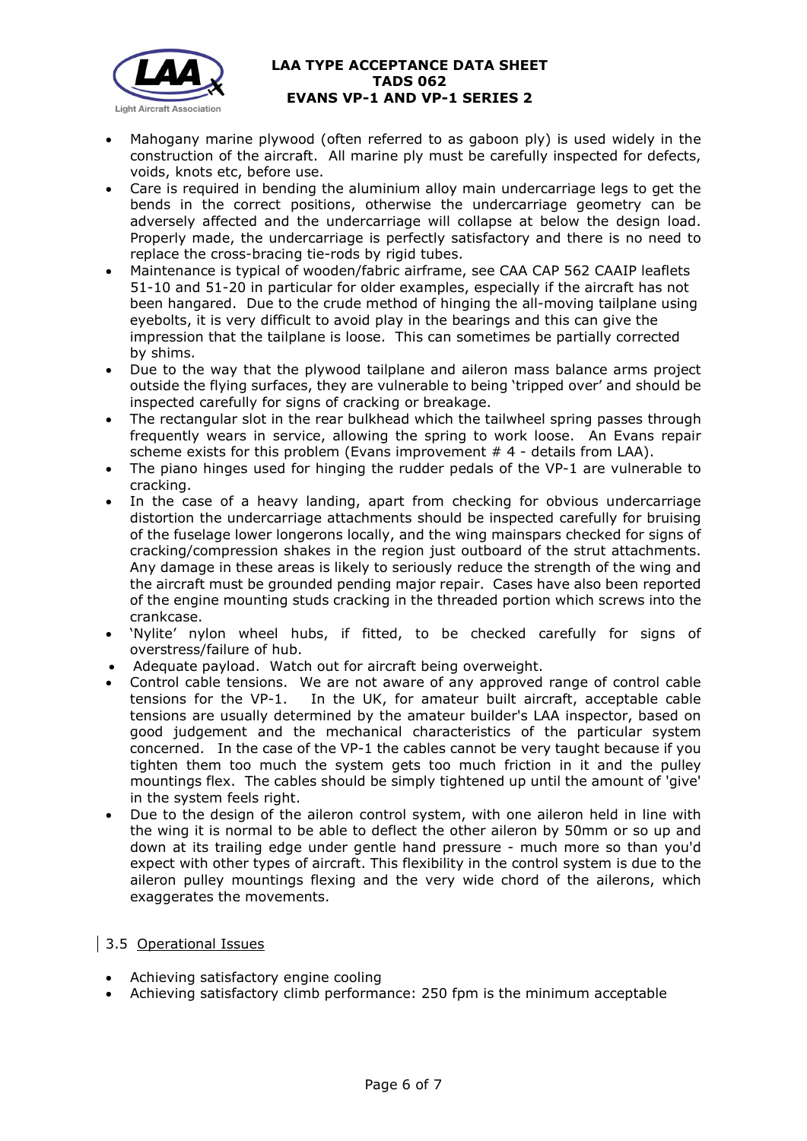

- Mahogany marine plywood (often referred to as gaboon ply) is used widely in the construction of the aircraft. All marine ply must be carefully inspected for defects, voids, knots etc, before use.
- Care is required in bending the aluminium alloy main undercarriage legs to get the bends in the correct positions, otherwise the undercarriage geometry can be adversely affected and the undercarriage will collapse at below the design load. Properly made, the undercarriage is perfectly satisfactory and there is no need to replace the cross-bracing tie-rods by rigid tubes.
- Maintenance is typical of wooden/fabric airframe, see CAA CAP 562 CAAIP leaflets 51-10 and 51-20 in particular for older examples, especially if the aircraft has not been hangared. Due to the crude method of hinging the all-moving tailplane using eyebolts, it is very difficult to avoid play in the bearings and this can give the impression that the tailplane is loose. This can sometimes be partially corrected by shims.
- Due to the way that the plywood tailplane and aileron mass balance arms project outside the flying surfaces, they are vulnerable to being 'tripped over' and should be inspected carefully for signs of cracking or breakage.
- The rectangular slot in the rear bulkhead which the tailwheel spring passes through frequently wears in service, allowing the spring to work loose. An Evans repair scheme exists for this problem (Evans improvement # 4 - details from LAA).
- The piano hinges used for hinging the rudder pedals of the VP-1 are vulnerable to cracking.
- In the case of a heavy landing, apart from checking for obvious undercarriage distortion the undercarriage attachments should be inspected carefully for bruising of the fuselage lower longerons locally, and the wing mainspars checked for signs of cracking/compression shakes in the region just outboard of the strut attachments. Any damage in these areas is likely to seriously reduce the strength of the wing and the aircraft must be grounded pending major repair. Cases have also been reported of the engine mounting studs cracking in the threaded portion which screws into the crankcase.
- 'Nylite' nylon wheel hubs, if fitted, to be checked carefully for signs of overstress/failure of hub.
- Adequate payload. Watch out for aircraft being overweight.
- Control cable tensions. We are not aware of any approved range of control cable tensions for the VP-1. In the UK, for amateur built aircraft, acceptable cable tensions are usually determined by the amateur builder's LAA inspector, based on good judgement and the mechanical characteristics of the particular system concerned. In the case of the VP-1 the cables cannot be very taught because if you tighten them too much the system gets too much friction in it and the pulley mountings flex. The cables should be simply tightened up until the amount of 'give' in the system feels right.
- Due to the design of the aileron control system, with one aileron held in line with the wing it is normal to be able to deflect the other aileron by 50mm or so up and down at its trailing edge under gentle hand pressure - much more so than you'd expect with other types of aircraft. This flexibility in the control system is due to the aileron pulley mountings flexing and the very wide chord of the ailerons, which exaggerates the movements.

# 3.5 Operational Issues

- Achieving satisfactory engine cooling
- Achieving satisfactory climb performance: 250 fpm is the minimum acceptable